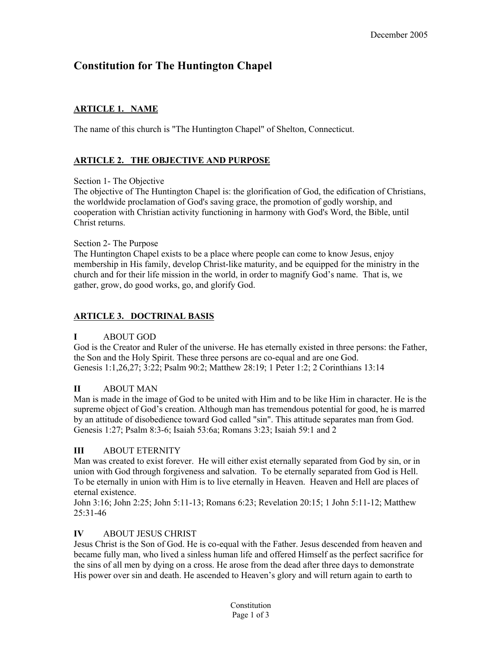# **Constitution for The Huntington Chapel**

# **ARTICLE 1. NAME**

The name of this church is "The Huntington Chapel" of Shelton, Connecticut.

## **ARTICLE 2. THE OBJECTIVE AND PURPOSE**

#### Section 1- The Objective

The objective of The Huntington Chapel is: the glorification of God, the edification of Christians, the worldwide proclamation of God's saving grace, the promotion of godly worship, and cooperation with Christian activity functioning in harmony with God's Word, the Bible, until Christ returns.

#### Section 2- The Purpose

The Huntington Chapel exists to be a place where people can come to know Jesus, enjoy membership in His family, develop Christ-like maturity, and be equipped for the ministry in the church and for their life mission in the world, in order to magnify God's name. That is, we gather, grow, do good works, go, and glorify God.

#### **ARTICLE 3. DOCTRINAL BASIS**

#### **I** ABOUT GOD

God is the Creator and Ruler of the universe. He has eternally existed in three persons: the Father, the Son and the Holy Spirit. These three persons are co-equal and are one God. Genesis 1:1,26,27; 3:22; Psalm 90:2; Matthew 28:19; 1 Peter 1:2; 2 Corinthians 13:14

#### **II** ABOUT MAN

Man is made in the image of God to be united with Him and to be like Him in character. He is the supreme object of God's creation. Although man has tremendous potential for good, he is marred by an attitude of disobedience toward God called "sin". This attitude separates man from God. Genesis 1:27; Psalm 8:3-6; Isaiah 53:6a; Romans 3:23; Isaiah 59:1 and 2

#### **III** ABOUT ETERNITY

Man was created to exist forever. He will either exist eternally separated from God by sin, or in union with God through forgiveness and salvation. To be eternally separated from God is Hell. To be eternally in union with Him is to live eternally in Heaven. Heaven and Hell are places of eternal existence.

John 3:16; John 2:25; John 5:11-13; Romans 6:23; Revelation 20:15; 1 John 5:11-12; Matthew 25:31-46

#### **IV** ABOUT JESUS CHRIST

Jesus Christ is the Son of God. He is co-equal with the Father. Jesus descended from heaven and became fully man, who lived a sinless human life and offered Himself as the perfect sacrifice for the sins of all men by dying on a cross. He arose from the dead after three days to demonstrate His power over sin and death. He ascended to Heaven's glory and will return again to earth to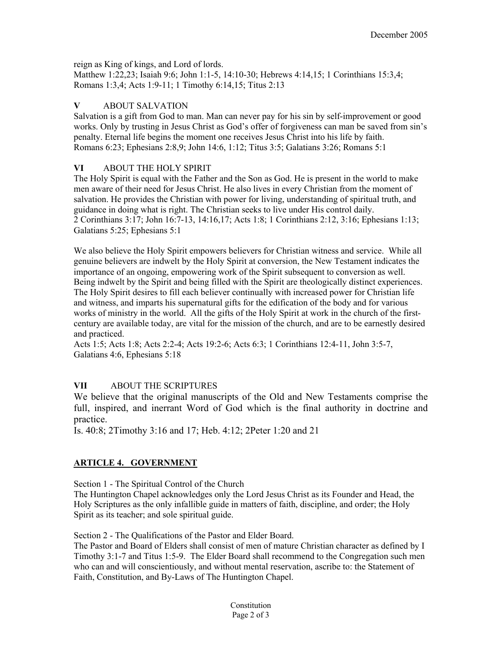reign as King of kings, and Lord of lords.

Matthew 1:22,23; Isaiah 9:6; John 1:1-5, 14:10-30; Hebrews 4:14,15; 1 Corinthians 15:3,4; Romans 1:3,4; Acts 1:9-11; 1 Timothy 6:14,15; Titus 2:13

## **V** ABOUT SALVATION

Salvation is a gift from God to man. Man can never pay for his sin by self-improvement or good works. Only by trusting in Jesus Christ as God's offer of forgiveness can man be saved from sin's penalty. Eternal life begins the moment one receives Jesus Christ into his life by faith. Romans 6:23; Ephesians 2:8,9; John 14:6, 1:12; Titus 3:5; Galatians 3:26; Romans 5:1

## **VI** ABOUT THE HOLY SPIRIT

The Holy Spirit is equal with the Father and the Son as God. He is present in the world to make men aware of their need for Jesus Christ. He also lives in every Christian from the moment of salvation. He provides the Christian with power for living, understanding of spiritual truth, and guidance in doing what is right. The Christian seeks to live under His control daily. 2 Corinthians 3:17; John 16:7-13, 14:16,17; Acts 1:8; 1 Corinthians 2:12, 3:16; Ephesians 1:13; Galatians 5:25; Ephesians 5:1

We also believe the Holy Spirit empowers believers for Christian witness and service. While all genuine believers are indwelt by the Holy Spirit at conversion, the New Testament indicates the importance of an ongoing, empowering work of the Spirit subsequent to conversion as well. Being indwelt by the Spirit and being filled with the Spirit are theologically distinct experiences. The Holy Spirit desires to fill each believer continually with increased power for Christian life and witness, and imparts his supernatural gifts for the edification of the body and for various works of ministry in the world. All the gifts of the Holy Spirit at work in the church of the firstcentury are available today, are vital for the mission of the church, and are to be earnestly desired and practiced.

Acts 1:5; Acts 1:8; Acts 2:2-4; Acts 19:2-6; Acts 6:3; 1 Corinthians 12:4-11, John 3:5-7, Galatians 4:6, Ephesians 5:18

## **VII** ABOUT THE SCRIPTURES

We believe that the original manuscripts of the Old and New Testaments comprise the full, inspired, and inerrant Word of God which is the final authority in doctrine and practice.

Is. 40:8; 2Timothy 3:16 and 17; Heb. 4:12; 2Peter 1:20 and 21

## **ARTICLE 4. GOVERNMENT**

Section 1 - The Spiritual Control of the Church

The Huntington Chapel acknowledges only the Lord Jesus Christ as its Founder and Head, the Holy Scriptures as the only infallible guide in matters of faith, discipline, and order; the Holy Spirit as its teacher; and sole spiritual guide.

Section 2 - The Qualifications of the Pastor and Elder Board.

The Pastor and Board of Elders shall consist of men of mature Christian character as defined by I Timothy 3:1-7 and Titus 1:5-9. The Elder Board shall recommend to the Congregation such men who can and will conscientiously, and without mental reservation, ascribe to: the Statement of Faith, Constitution, and By-Laws of The Huntington Chapel.